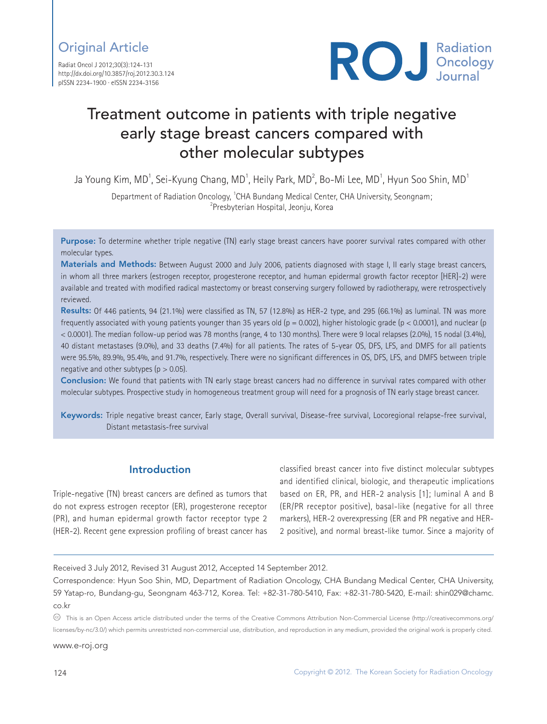Radiat Oncol J 2012;30(3):124-131 http://dx.doi.org/10.3857/roj.2012.30.3.124 pISSN 2234-1900 · eISSN 2234-3156



# Treatment outcome in patients with triple negative early stage breast cancers compared with other molecular subtypes

Ja Young Kim, MD $^{\rm 1}$ , Sei-Kyung Chang, MD $^{\rm 1}$ , Heily Park, MD $^{\rm 2}$ , Bo-Mi Lee, MD $^{\rm 1}$ , Hyun Soo Shin, MD $^{\rm 1}$ 

Department of Radiation Oncology, <sup>1</sup>CHA Bundang Medical Center, CHA University, Seongnam;<br><sup>2</sup> Presbyterian Hospital, Jeoniu *Korea* <sup>2</sup>Presbyterian Hospital, Jeonju, Korea

Purpose: To determine whether triple negative (TN) early stage breast cancers have poorer survival rates compared with other molecular types.

Materials and Methods: Between August 2000 and July 2006, patients diagnosed with stage I. II early stage breast cancers, in whom all three markers (estrogen receptor, progesterone receptor, and human epidermal growth factor receptor [HER]-2) were available and treated with modified radical mastectomy or breast conserving surgery followed by radiotherapy, were retrospectively reviewed.

Results: Of 446 patients, 94 (21.1%) were classified as TN, 57 (12.8%) as HER-2 type, and 295 (66.1%) as luminal. TN was more frequently associated with young patients younger than 35 years old ( $p = 0.002$ ), higher histologic grade ( $p < 0.0001$ ), and nuclear (p < 0.0001). The median follow-up period was 78 months (range, 4 to 130 months). There were 9 local relapses (2.0%), 15 nodal (3.4%), 40 distant metastases (9.0%), and 33 deaths (7.4%) for all patients. The rates of 5-year OS, DFS, LFS, and DMFS for all patients were 95.5%, 89.9%, 95.4%, and 91.7%, respectively. There were no significant differences in OS, DFS, LFS, and DMFS between triple negative and other subtypes ( $p > 0.05$ ).

Conclusion: We found that patients with TN early stage breast cancers had no difference in survival rates compared with other molecular subtypes. Prospective study in homogeneous treatment group will need for a prognosis of TN early stage breast cancer.

Keywords: Triple negative breast cancer, Early stage, Overall survival, Disease-free survival, Locoregional relapse-free survival, Distant metastasis-free survival

# Introduction

Triple-negative (TN) breast cancers are defined as tumors that do not express estrogen receptor (ER), progesterone receptor (PR), and human epidermal growth factor receptor type 2 (HER-2). Recent gene expression profiling of breast cancer has

classified breast cancer into five distinct molecular subtypes and identified clinical, biologic, and therapeutic implications based on ER, PR, and HER-2 analysis [1]; luminal A and B (ER/PR receptor positive), basal-like (negative for all three markers), HER-2 overexpressing (ER and PR negative and HER-2 positive), and normal breast-like tumor. Since a majority of

Received 3 July 2012, Revised 31 August 2012, Accepted 14 September 2012.

Correspondence: Hyun Soo Shin, MD, Department of Radiation Oncology, CHA Bundang Medical Center, CHA University, 59 Yatap-ro, Bundang-gu, Seongnam 463-712, Korea. Tel: +82-31-780-5410, Fax: +82-31-780-5420, E-mail: shin029@chamc. co.kr

 $\circledast$  This is an Open Access article distributed under the terms of the Creative Commons Attribution Non-Commercial License (http://creativecommons.org/ licenses/by-nc/3.0/) which permits unrestricted non-commercial use, distribution, and reproduction in any medium, provided the original work is properly cited.

www.e-roj.org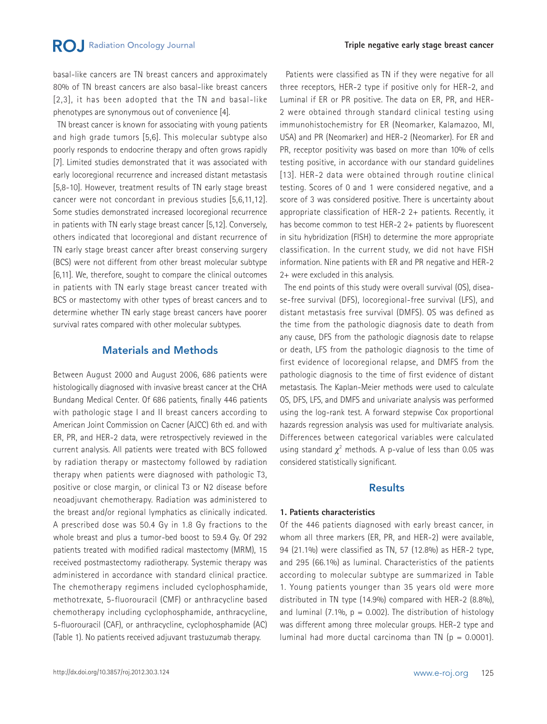basal-like cancers are TN breast cancers and approximately 80% of TN breast cancers are also basal-like breast cancers [2,3], it has been adopted that the TN and basal-like phenotypes are synonymous out of convenience [4].

 TN breast cancer is known for associating with young patients and high grade tumors [5,6]. This molecular subtype also poorly responds to endocrine therapy and often grows rapidly [7]. Limited studies demonstrated that it was associated with early locoregional recurrence and increased distant metastasis [5,8-10]. However, treatment results of TN early stage breast cancer were not concordant in previous studies [5,6,11,12]. Some studies demonstrated increased locoregional recurrence in patients with TN early stage breast cancer [5,12]. Conversely, others indicated that locoregional and distant recurrence of TN early stage breast cancer after breast conserving surgery (BCS) were not different from other breast molecular subtype [6,11]. We, therefore, sought to compare the clinical outcomes in patients with TN early stage breast cancer treated with BCS or mastectomy with other types of breast cancers and to determine whether TN early stage breast cancers have poorer survival rates compared with other molecular subtypes.

### Materials and Methods

Between August 2000 and August 2006, 686 patients were histologically diagnosed with invasive breast cancer at the CHA Bundang Medical Center. Of 686 patients, finally 446 patients with pathologic stage I and II breast cancers according to American Joint Commission on Cacner (AJCC) 6th ed. and with ER, PR, and HER-2 data, were retrospectively reviewed in the current analysis. All patients were treated with BCS followed by radiation therapy or mastectomy followed by radiation therapy when patients were diagnosed with pathologic T3, positive or close margin, or clinical T3 or N2 disease before neoadjuvant chemotherapy. Radiation was administered to the breast and/or regional lymphatics as clinically indicated. A prescribed dose was 50.4 Gy in 1.8 Gy fractions to the whole breast and plus a tumor-bed boost to 59.4 Gy. Of 292 patients treated with modified radical mastectomy (MRM), 15 received postmastectomy radiotherapy. Systemic therapy was administered in accordance with standard clinical practice. The chemotherapy regimens included cyclophosphamide, methotrexate, 5-fluorouracil (CMF) or anthracycline based chemotherapy including cyclophosphamide, anthracycline, 5-fluorouracil (CAF), or anthracycline, cyclophosphamide (AC) (Table 1). No patients received adjuvant trastuzumab therapy.

 Patients were classified as TN if they were negative for all three receptors, HER-2 type if positive only for HER-2, and Luminal if ER or PR positive. The data on ER, PR, and HER-2 were obtained through standard clinical testing using immunohistochemistry for ER (Neomarker, Kalamazoo, MI, USA) and PR (Neomarker) and HER-2 (Neomarker). For ER and PR, receptor positivity was based on more than 10% of cells testing positive, in accordance with our standard guidelines [13]. HER-2 data were obtained through routine clinical testing. Scores of 0 and 1 were considered negative, and a score of 3 was considered positive. There is uncertainty about appropriate classification of HER-2 2+ patients. Recently, it has become common to test HER-2 2+ patients by fluorescent in situ hybridization (FISH) to determine the more appropriate classification. In the current study, we did not have FISH information. Nine patients with ER and PR negative and HER-2 2+ were excluded in this analysis.

 The end points of this study were overall survival (OS), disease-free survival (DFS), locoregional-free survival (LFS), and distant metastasis free survival (DMFS). OS was defined as the time from the pathologic diagnosis date to death from any cause, DFS from the pathologic diagnosis date to relapse or death, LFS from the pathologic diagnosis to the time of first evidence of locoregional relapse, and DMFS from the pathologic diagnosis to the time of first evidence of distant metastasis. The Kaplan-Meier methods were used to calculate OS, DFS, LFS, and DMFS and univariate analysis was performed using the log-rank test. A forward stepwise Cox proportional hazards regression analysis was used for multivariate analysis. Differences between categorical variables were calculated using standard  $\chi^2$  methods. A p-value of less than 0.05 was considered statistically significant.

# Results

### **1. Patients characteristics**

Of the 446 patients diagnosed with early breast cancer, in whom all three markers (ER, PR, and HER-2) were available, 94 (21.1%) were classified as TN, 57 (12.8%) as HER-2 type, and 295 (66.1%) as luminal. Characteristics of the patients according to molecular subtype are summarized in Table 1. Young patients younger than 35 years old were more distributed in TN type (14.9%) compared with HER-2 (8.8%), and luminal (7.1%,  $p = 0.002$ ). The distribution of histology was different among three molecular groups. HER-2 type and luminal had more ductal carcinoma than TN ( $p = 0.0001$ ).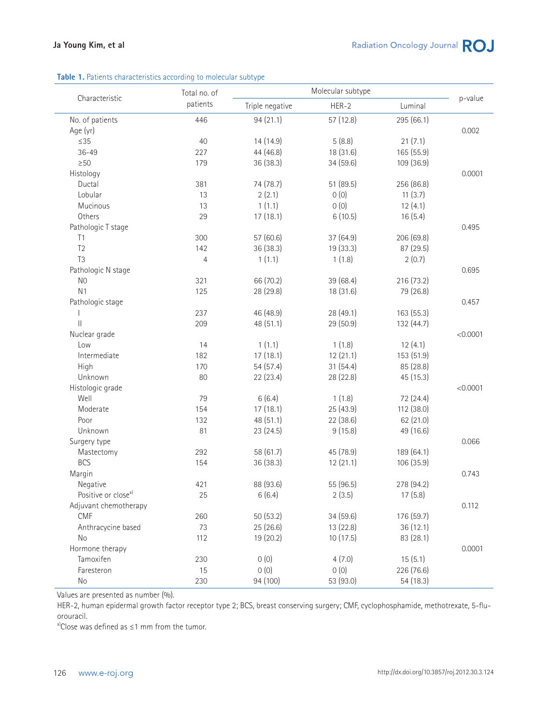### **Table 1.** Patients characteristics according to molecular subtype

|                                 | Total no. of   |                 |           |            |          |  |
|---------------------------------|----------------|-----------------|-----------|------------|----------|--|
| Characteristic                  | patients       | Triple negative | $HER-2$   | Luminal    | p-value  |  |
| No. of patients                 | 446            | 94(21.1)        | 57 (12.8) | 295 (66.1) |          |  |
| Age (yr)                        |                |                 |           |            | 0.002    |  |
| $\leq$ 35                       | 40             | 14 (14.9)       | 5(8.8)    | 21(7.1)    |          |  |
| $36 - 49$                       | 227            | 44 (46.8)       | 18 (31.6) | 165 (55.9) |          |  |
| $\geq$ 50                       | 179            | 36 (38.3)       | 34 (59.6) | 109 (36.9) |          |  |
| Histology                       |                |                 |           |            | 0.0001   |  |
| Ductal                          | 381            | 74 (78.7)       | 51 (89.5) | 256 (86.8) |          |  |
| Lobular                         | 13             | 2(2.1)          | 0(0)      | 11(3.7)    |          |  |
| Mucinous                        | 13             | 1(1.1)          | 0(0)      | 12(4.1)    |          |  |
| Others                          | 29             | 17(18.1)        | 6(10.5)   | 16(5.4)    |          |  |
| Pathologic T stage              |                |                 |           |            | 0.495    |  |
| T1                              | 300            | 57 (60.6)       | 37 (64.9) | 206 (69.8) |          |  |
| T <sub>2</sub>                  | 142            | 36 (38.3)       | 19 (33.3) | 87 (29.5)  |          |  |
| T <sub>3</sub>                  | $\overline{4}$ | 1(1.1)          | 1(1.8)    | 2(0.7)     |          |  |
| Pathologic N stage              |                |                 |           |            | 0.695    |  |
| N <sub>0</sub>                  | 321            | 66 (70.2)       | 39 (68.4) | 216 (73.2) |          |  |
| N <sub>1</sub>                  | 125            | 28 (29.8)       | 18 (31.6) | 79 (26.8)  |          |  |
| Pathologic stage                |                |                 |           |            | 0.457    |  |
|                                 | 237            | 46 (48.9)       | 28 (49.1) | 163 (55.3) |          |  |
| $\mathbf{  }$                   | 209            | 48 (51.1)       | 29 (50.9) | 132 (44.7) |          |  |
| Nuclear grade                   |                |                 |           |            | < 0.0001 |  |
| Low                             | 14             | 1(1.1)          | 1(1.8)    | 12(4.1)    |          |  |
| Intermediate                    | 182            | 17(18.1)        | 12(21.1)  | 153 (51.9) |          |  |
| High                            | 170            | 54 (57.4)       | 31(54.4)  | 85 (28.8)  |          |  |
| Unknown                         | 80             | 22 (23.4)       | 28 (22.8) | 45 (15.3)  |          |  |
| Histologic grade                |                |                 |           |            | < 0.0001 |  |
| Well                            | 79             | 6(6.4)          | 1(1.8)    | 72 (24.4)  |          |  |
| Moderate                        | 154            | 17(18.1)        | 25 (43.9) | 112 (38.0) |          |  |
| Poor                            | 132            | 48 (51.1)       | 22 (38.6) | 62 (21.0)  |          |  |
| Unknown                         | 81             | 23 (24.5)       | 9(15.8)   | 49 (16.6)  |          |  |
| Surgery type                    |                |                 |           |            | 0.066    |  |
| Mastectomy                      | 292            | 58 (61.7)       | 45 (78.9) | 189 (64.1) |          |  |
| <b>BCS</b>                      | 154            | 36 (38.3)       | 12(21.1)  | 106 (35.9) |          |  |
| Margin                          |                |                 |           |            | 0.743    |  |
| Negative                        | 421            | 88 (93.6)       | 55 (96.5) | 278 (94.2) |          |  |
| Positive or close <sup>a)</sup> | 25             | 6(6.4)          | 2(3.5)    | 17(5.8)    |          |  |
| Adjuvant chemotherapy           |                |                 |           |            | 0.112    |  |
| <b>CMF</b>                      | 260            | 50(53.2)        | 34 (59.6) | 176 (59.7) |          |  |
| Anthracycine based              | 73             | 25 (26.6)       | 13 (22.8) | 36(12.1)   |          |  |
| No                              | 112            | 19 (20.2)       | 10(17.5)  | 83 (28.1)  |          |  |
| Hormone therapy                 |                |                 |           |            | 0.0001   |  |
| Tamoxifen                       | 230            | 0(0)            | 4(7.0)    | 15(5.1)    |          |  |
| Faresteron                      | 15             | 0(0)            | 0(0)      | 226 (76.6) |          |  |
|                                 |                | 94 (100)        |           | 54 (18.3)  |          |  |
| No                              | 230            |                 | 53 (93.0) |            |          |  |

Values are presented as number (%).

HER-2, human epidermal growth factor receptor type 2; BCS, breast conserving surgery; CMF, cyclophosphamide, methotrexate, 5-fluorouracil.

a)Close was defined as ≤1 mm from the tumor.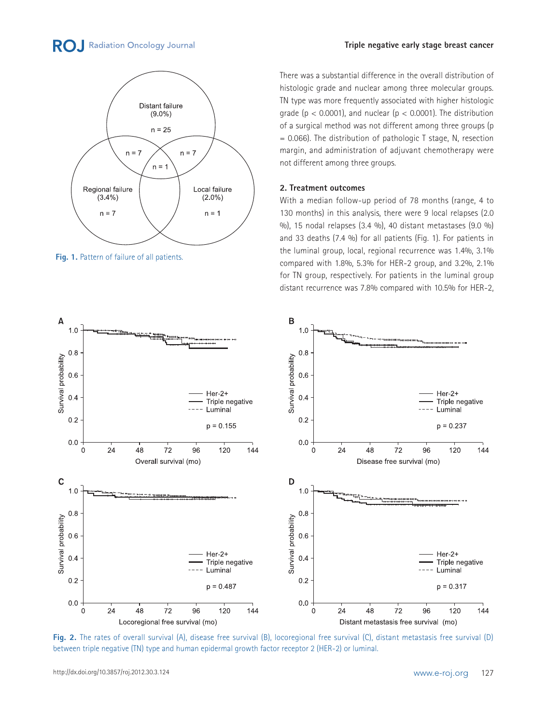# **RO.** Radiation Oncology Journal



**Fig. 1.** Pattern of failure of all patients.

#### **Triple negative early stage breast cancer**

There was a substantial difference in the overall distribution of histologic grade and nuclear among three molecular groups. TN type was more frequently associated with higher histologic grade ( $p < 0.0001$ ), and nuclear ( $p < 0.0001$ ). The distribution of a surgical method was not different among three groups (p  $= 0.066$ ). The distribution of pathologic T stage, N, resection margin, and administration of adjuvant chemotherapy were not different among three groups.

### **2. Treatment outcomes**

With a median follow-up period of 78 months (range, 4 to 130 months) in this analysis, there were 9 local relapses (2.0 %), 15 nodal relapses (3.4 %), 40 distant metastases (9.0 %) and 33 deaths (7.4 %) for all patients (Fig. 1). For patients in the luminal group, local, regional recurrence was 1.4%, 3.1% compared with 1.8%, 5.3% for HER-2 group, and 3.2%, 2.1% for TN group, respectively. For patients in the luminal group distant recurrence was 7.8% compared with 10.5% for HER-2,



**Fig. 2.** The rates of overall survival (A), disease free survival (B), locoregional free survival (C), distant metastasis free survival (D) between triple negative (TN) type and human epidermal growth factor receptor 2 (HER-2) or luminal.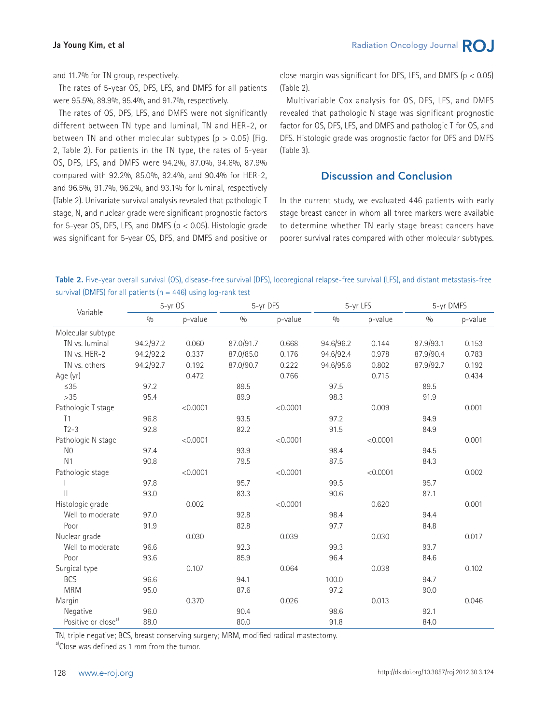and 11.7% for TN group, respectively.

 The rates of 5-year OS, DFS, LFS, and DMFS for all patients were 95.5%, 89.9%, 95.4%, and 91.7%, respectively.

 The rates of OS, DFS, LFS, and DMFS were not significantly different between TN type and luminal, TN and HER-2, or between TN and other molecular subtypes ( $p > 0.05$ ) (Fig. 2, Table 2). For patients in the TN type, the rates of 5-year OS, DFS, LFS, and DMFS were 94.2%, 87.0%, 94.6%, 87.9% compared with 92.2%, 85.0%, 92.4%, and 90.4% for HER-2, and 96.5%, 91.7%, 96.2%, and 93.1% for luminal, respectively (Table 2). Univariate survival analysis revealed that pathologic T stage, N, and nuclear grade were significant prognostic factors for 5-year OS, DFS, LFS, and DMFS ( $p < 0.05$ ). Histologic grade was significant for 5-year OS, DFS, and DMFS and positive or close margin was significant for DFS, LFS, and DMFS ( $p < 0.05$ ) (Table 2).

 Multivariable Cox analysis for OS, DFS, LFS, and DMFS revealed that pathologic N stage was significant prognostic factor for OS, DFS, LFS, and DMFS and pathologic T for OS, and DFS. Histologic grade was prognostic factor for DFS and DMFS (Table 3).

# Discussion and Conclusion

In the current study, we evaluated 446 patients with early stage breast cancer in whom all three markers were available to determine whether TN early stage breast cancers have poorer survival rates compared with other molecular subtypes.

**Table 2.** Five-year overall survival (OS), disease-free survival (DFS), locoregional relapse-free survival (LFS), and distant metastasis-free survival (DMFS) for all patients ( $n = 446$ ) using log-rank test

|                                 | $5-yr$ OS |          | 5-yr DFS  |          | 5-yr LFS       |          | 5-yr DMFS |         |
|---------------------------------|-----------|----------|-----------|----------|----------------|----------|-----------|---------|
| Variable                        | 0/0       | p-value  | 0/0       | p-value  | 0/0<br>p-value |          | 0/0       | p-value |
| Molecular subtype               |           |          |           |          |                |          |           |         |
| TN vs. luminal                  | 94.2/97.2 | 0.060    | 87.0/91.7 | 0.668    | 94.6/96.2      | 0.144    | 87.9/93.1 | 0.153   |
| TN vs. HER-2                    | 94.2/92.2 | 0.337    | 87.0/85.0 | 0.176    | 94.6/92.4      | 0.978    | 87.9/90.4 | 0.783   |
| TN vs. others                   | 94.2/92.7 | 0.192    | 87.0/90.7 | 0.222    | 94.6/95.6      | 0.802    | 87.9/92.7 | 0.192   |
| Age (yr)                        |           | 0.472    |           | 0.766    |                | 0.715    |           | 0.434   |
| $\leq$ 35                       | 97.2      |          | 89.5      |          | 97.5           |          | 89.5      |         |
| $>35$                           | 95.4      |          | 89.9      |          | 98.3           |          | 91.9      |         |
| Pathologic T stage              |           | < 0.0001 |           | < 0.0001 |                | 0.009    |           | 0.001   |
| T <sub>1</sub>                  | 96.8      |          | 93.5      |          | 97.2           |          | 94.9      |         |
| $T2-3$                          | 92.8      |          | 82.2      |          | 91.5           |          | 84.9      |         |
| Pathologic N stage              |           | < 0.0001 |           | < 0.0001 |                | < 0.0001 |           | 0.001   |
| N <sub>0</sub>                  | 97.4      |          | 93.9      |          | 98.4           |          | 94.5      |         |
| N <sub>1</sub>                  | 90.8      |          | 79.5      |          | 87.5           |          | 84.3      |         |
| Pathologic stage                |           | < 0.0001 |           | < 0.0001 |                | < 0.0001 |           | 0.002   |
|                                 | 97.8      |          | 95.7      |          | 99.5           |          | 95.7      |         |
| $\mathbf{I}$                    | 93.0      |          | 83.3      |          | 90.6           |          | 87.1      |         |
| Histologic grade                |           | 0.002    |           | < 0.0001 |                | 0.620    |           | 0.001   |
| Well to moderate                | 97.0      |          | 92.8      |          | 98.4           |          | 94.4      |         |
| Poor                            | 91.9      |          | 82.8      |          | 97.7           |          | 84.8      |         |
| Nuclear grade                   |           | 0.030    |           | 0.039    |                | 0.030    |           | 0.017   |
| Well to moderate                | 96.6      |          | 92.3      |          | 99.3           |          | 93.7      |         |
| Poor                            | 93.6      |          | 85.9      |          | 96.4           |          | 84.6      |         |
| Surgical type                   |           | 0.107    |           | 0.064    |                | 0.038    |           | 0.102   |
| <b>BCS</b>                      | 96.6      |          | 94.1      |          | 100.0          |          | 94.7      |         |
| <b>MRM</b>                      | 95.0      |          | 87.6      |          | 97.2           |          | 90.0      |         |
| Margin                          |           | 0.370    |           | 0.026    |                | 0.013    |           | 0.046   |
| Negative                        | 96.0      |          | 90.4      |          | 98.6           |          | 92.1      |         |
| Positive or close <sup>a)</sup> | 88.0      |          | 80.0      |          | 91.8           |          | 84.0      |         |

TN, triple negative; BCS, breast conserving surgery; MRM, modified radical mastectomy.

a)Close was defined as 1 mm from the tumor.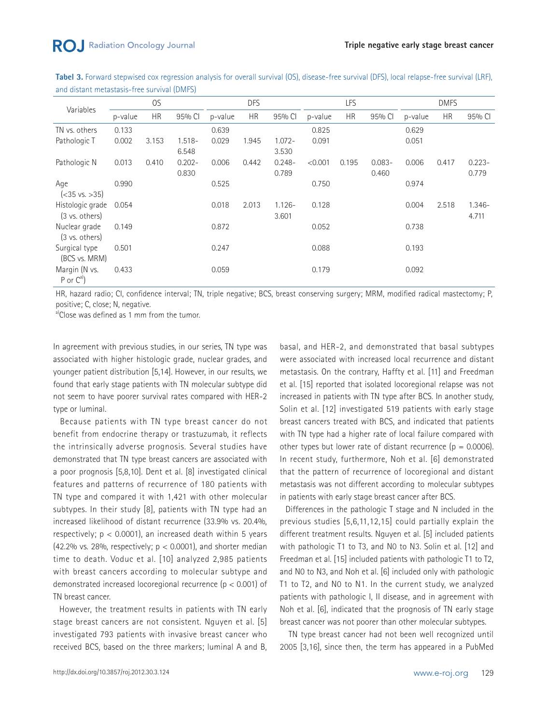Tabel 3. Forward stepwised cox regression analysis for overall survival (OS), disease-free survival (DFS), local relapse-free survival (LRF), and distant metastasis-free survival (DMFS)

| Variables                                    | OS      |           | <b>DFS</b>         |         | LFS       |                    |         | <b>DMFS</b> |                    |         |           |                    |
|----------------------------------------------|---------|-----------|--------------------|---------|-----------|--------------------|---------|-------------|--------------------|---------|-----------|--------------------|
|                                              | p-value | <b>HR</b> | 95% CI             | p-value | <b>HR</b> | 95% CI             | p-value | <b>HR</b>   | 95% CI             | p-value | <b>HR</b> | 95% CI             |
| TN vs. others                                | 0.133   |           |                    | 0.639   |           |                    | 0.825   |             |                    | 0.629   |           |                    |
| Pathologic T                                 | 0.002   | 3.153     | $1.518 -$<br>6.548 | 0.029   | 1.945     | $1.072 -$<br>3.530 | 0.091   |             |                    | 0.051   |           |                    |
| Pathologic N                                 | 0.013   | 0.410     | $0.202 -$<br>0.830 | 0.006   | 0.442     | $0.248 -$<br>0.789 | < 0.001 | 0.195       | $0.083 -$<br>0.460 | 0.006   | 0.417     | $0.223 -$<br>0.779 |
| Age<br>$(-35 \text{ vs. } >35)$              | 0.990   |           |                    | 0.525   |           |                    | 0.750   |             |                    | 0.974   |           |                    |
| Histologic grade<br>$(3 \text{ vs. others})$ | 0.054   |           |                    | 0.018   | 2.013     | $1.126 -$<br>3.601 | 0.128   |             |                    | 0.004   | 2.518     | $1.346 -$<br>4.711 |
| Nuclear grade<br>$(3 \text{ vs. others})$    | 0.149   |           |                    | 0.872   |           |                    | 0.052   |             |                    | 0.738   |           |                    |
| Surgical type<br>(BCS vs. MRM)               | 0.501   |           |                    | 0.247   |           |                    | 0.088   |             |                    | 0.193   |           |                    |
| Margin (N vs.<br>P or $C^{a)}$               | 0.433   |           |                    | 0.059   |           |                    | 0.179   |             |                    | 0.092   |           |                    |

HR, hazard radio; CI, confidence interval; TN, triple negative; BCS, breast conserving surgery; MRM, modified radical mastectomy; P, positive; C, close; N, negative.

<sup>a)</sup>Close was defined as 1 mm from the tumor.

In agreement with previous studies, in our series, TN type was associated with higher histologic grade, nuclear grades, and younger patient distribution [5,14]. However, in our results, we found that early stage patients with TN molecular subtype did not seem to have poorer survival rates compared with HER-2 type or luminal.

 Because patients with TN type breast cancer do not benefit from endocrine therapy or trastuzumab, it reflects the intrinsically adverse prognosis. Several studies have demonstrated that TN type breast cancers are associated with a poor prognosis [5,8,10]. Dent et al. [8] investigated clinical features and patterns of recurrence of 180 patients with TN type and compared it with 1,421 with other molecular subtypes. In their study [8], patients with TN type had an increased likelihood of distant recurrence (33.9% vs. 20.4%, respectively;  $p < 0.0001$ ), an increased death within 5 years (42.2% vs. 28%, respectively;  $p < 0.0001$ ), and shorter median time to death. Voduc et al. [10] analyzed 2,985 patients with breast cancers according to molecular subtype and demonstrated increased locoregional recurrence (p < 0.001) of TN breast cancer.

 However, the treatment results in patients with TN early stage breast cancers are not consistent. Nguyen et al. [5] investigated 793 patients with invasive breast cancer who received BCS, based on the three markers; luminal A and B, basal, and HER-2, and demonstrated that basal subtypes were associated with increased local recurrence and distant metastasis. On the contrary, Haffty et al. [11] and Freedman et al. [15] reported that isolated locoregional relapse was not increased in patients with TN type after BCS. In another study, Solin et al. [12] investigated 519 patients with early stage breast cancers treated with BCS, and indicated that patients with TN type had a higher rate of local failure compared with other types but lower rate of distant recurrence  $(p = 0.0006)$ . In recent study, furthermore, Noh et al. [6] demonstrated that the pattern of recurrence of locoregional and distant metastasis was not different according to molecular subtypes in patients with early stage breast cancer after BCS.

 Differences in the pathologic T stage and N included in the previous studies [5,6,11,12,15] could partially explain the different treatment results. Nguyen et al. [5] included patients with pathologic T1 to T3, and N0 to N3. Solin et al. [12] and Freedman et al. [15] included patients with pathologic T1 to T2, and N0 to N3, and Noh et al. [6] included only with pathologic T1 to T2, and N0 to N1. In the current study, we analyzed patients with pathologic I, II disease, and in agreement with Noh et al. [6], indicated that the prognosis of TN early stage breast cancer was not poorer than other molecular subtypes.

 TN type breast cancer had not been well recognized until 2005 [3,16], since then, the term has appeared in a PubMed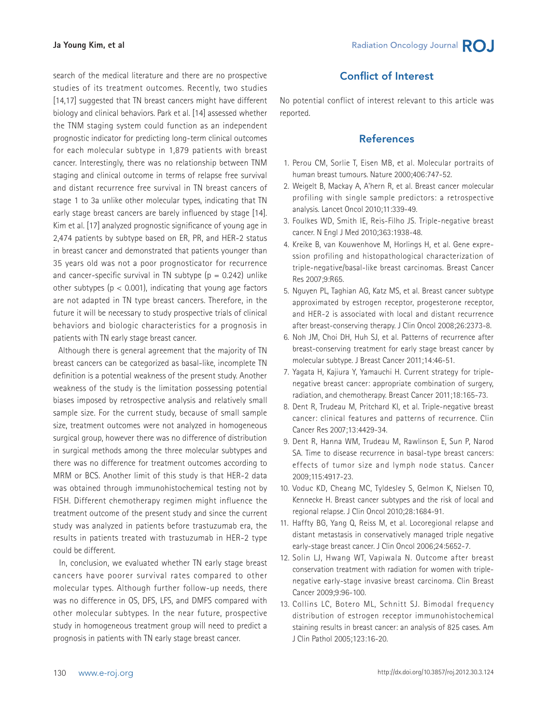search of the medical literature and there are no prospective studies of its treatment outcomes. Recently, two studies [14,17] suggested that TN breast cancers might have different biology and clinical behaviors. Park et al. [14] assessed whether the TNM staging system could function as an independent prognostic indicator for predicting long-term clinical outcomes for each molecular subtype in 1,879 patients with breast cancer. Interestingly, there was no relationship between TNM staging and clinical outcome in terms of relapse free survival and distant recurrence free survival in TN breast cancers of stage 1 to 3a unlike other molecular types, indicating that TN early stage breast cancers are barely influenced by stage [14]. Kim et al. [17] analyzed prognostic significance of young age in 2,474 patients by subtype based on ER, PR, and HER-2 status in breast cancer and demonstrated that patients younger than 35 years old was not a poor prognosticator for recurrence and cancer-specific survival in TN subtype  $(p = 0.242)$  unlike other subtypes ( $p < 0.001$ ), indicating that young age factors are not adapted in TN type breast cancers. Therefore, in the future it will be necessary to study prospective trials of clinical behaviors and biologic characteristics for a prognosis in patients with TN early stage breast cancer.

 Although there is general agreement that the majority of TN breast cancers can be categorized as basal-like, incomplete TN definition is a potential weakness of the present study. Another weakness of the study is the limitation possessing potential biases imposed by retrospective analysis and relatively small sample size. For the current study, because of small sample size, treatment outcomes were not analyzed in homogeneous surgical group, however there was no difference of distribution in surgical methods among the three molecular subtypes and there was no difference for treatment outcomes according to MRM or BCS. Another limit of this study is that HER-2 data was obtained through immunohistochemical testing not by FISH. Different chemotherapy regimen might influence the treatment outcome of the present study and since the current study was analyzed in patients before trastuzumab era, the results in patients treated with trastuzumab in HER-2 type could be different.

 In, conclusion, we evaluated whether TN early stage breast cancers have poorer survival rates compared to other molecular types. Although further follow-up needs, there was no difference in OS, DFS, LFS, and DMFS compared with other molecular subtypes. In the near future, prospective study in homogeneous treatment group will need to predict a prognosis in patients with TN early stage breast cancer.

# Conflict of Interest

No potential conflict of interest relevant to this article was reported.

# **References**

- 1. Perou CM, Sorlie T, Eisen MB, et al. Molecular portraits of human breast tumours. Nature 2000;406:747-52.
- 2. Weigelt B, Mackay A, A'hern R, et al. Breast cancer molecular profiling with single sample predictors: a retrospective analysis. Lancet Oncol 2010;11:339-49.
- 3. Foulkes WD, Smith IE, Reis-Filho JS. Triple-negative breast cancer. N Engl J Med 2010;363:1938-48.
- 4. Kreike B, van Kouwenhove M, Horlings H, et al. Gene expression profiling and histopathological characterization of triple-negative/basal-like breast carcinomas. Breast Cancer Res 2007;9:R65.
- 5. Nguyen PL, Taghian AG, Katz MS, et al. Breast cancer subtype approximated by estrogen receptor, progesterone receptor, and HER-2 is associated with local and distant recurrence after breast-conserving therapy. J Clin Oncol 2008;26:2373-8.
- 6. Noh JM, Choi DH, Huh SJ, et al. Patterns of recurrence after breast-conserving treatment for early stage breast cancer by molecular subtype. J Breast Cancer 2011;14:46-51.
- 7. Yagata H, Kajiura Y, Yamauchi H. Current strategy for triplenegative breast cancer: appropriate combination of surgery, radiation, and chemotherapy. Breast Cancer 2011;18:165-73.
- 8. Dent R, Trudeau M, Pritchard KI, et al. Triple-negative breast cancer: clinical features and patterns of recurrence. Clin Cancer Res 2007;13:4429-34.
- 9. Dent R, Hanna WM, Trudeau M, Rawlinson E, Sun P, Narod SA. Time to disease recurrence in basal-type breast cancers: effects of tumor size and lymph node status. Cancer 2009;115:4917-23.
- 10. Voduc KD, Cheang MC, Tyldesley S, Gelmon K, Nielsen TO, Kennecke H. Breast cancer subtypes and the risk of local and regional relapse. J Clin Oncol 2010;28:1684-91.
- 11. Haffty BG, Yang Q, Reiss M, et al. Locoregional relapse and distant metastasis in conservatively managed triple negative early-stage breast cancer. J Clin Oncol 2006;24:5652-7.
- 12. Solin LJ, Hwang WT, Vapiwala N. Outcome after breast conservation treatment with radiation for women with triplenegative early-stage invasive breast carcinoma. Clin Breast Cancer 2009;9:96-100.
- 13. Collins LC, Botero ML, Schnitt SJ. Bimodal frequency distribution of estrogen receptor immunohistochemical staining results in breast cancer: an analysis of 825 cases. Am J Clin Pathol 2005;123:16-20.